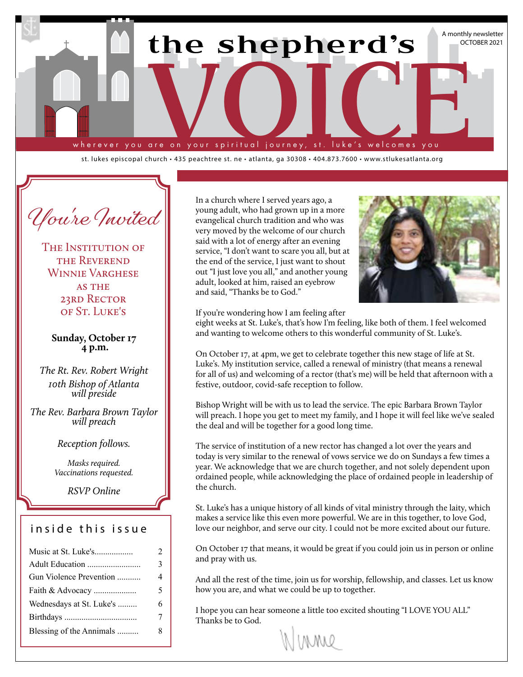

st. lukes episcopal church • 435 peachtree st. ne • atlanta, ga 30308 • 404.873.7600 • www.stlukesatlanta.org

**You're Invited**

THE INSTITUTION OF THE REVEREND Winnie Varghese **AS THE** 23RD RECTOR of St. Luke's

**Sunday, October 17 4 p.m.**

*The Rt. Rev. Robert Wright 10th Bishop of Atlanta will preside*

*The Rev. Barbara Brown Taylor will preach*

### *Reception follows.*

*Masks required. Vaccinations requested.*

*RSVP Online*

# inside this issue

| Music at St. Luke's      | $\mathfrak{D}$ |
|--------------------------|----------------|
| Adult Education          | 3              |
| Gun Violence Prevention  | 4              |
| Faith & Advocacy         | 5              |
| Wednesdays at St. Luke's | 6              |
|                          | 7              |
| Blessing of the Annimals | 8              |

In a church where I served years ago, a young adult, who had grown up in a more evangelical church tradition and who was very moved by the welcome of our church said with a lot of energy after an evening service, "I don't want to scare you all, but at the end of the service, I just want to shout out "I just love you all," and another young adult, looked at him, raised an eyebrow and said, "Thanks be to God."



If you're wondering how I am feeling after

eight weeks at St. Luke's, that's how I'm feeling, like both of them. I feel welcomed and wanting to welcome others to this wonderful community of St. Luke's.

On October 17, at 4pm, we get to celebrate together this new stage of life at St. Luke's. My institution service, called a renewal of ministry (that means a renewal for all of us) and welcoming of a rector (that's me) will be held that afternoon with a festive, outdoor, covid-safe reception to follow.

Bishop Wright will be with us to lead the service. The epic Barbara Brown Taylor will preach. I hope you get to meet my family, and I hope it will feel like we've sealed the deal and will be together for a good long time.

The service of institution of a new rector has changed a lot over the years and today is very similar to the renewal of vows service we do on Sundays a few times a year. We acknowledge that we are church together, and not solely dependent upon ordained people, while acknowledging the place of ordained people in leadership of the church.

St. Luke's has a unique history of all kinds of vital ministry through the laity, which makes a service like this even more powerful. We are in this together, to love God, love our neighbor, and serve our city. I could not be more excited about our future.

On October 17 that means, it would be great if you could join us in person or online and pray with us.

And all the rest of the time, join us for worship, fellowship, and classes. Let us know how you are, and what we could be up to together.

I hope you can hear someone a little too excited shouting "I LOVE YOU ALL" Thanks be to God.

(MMW)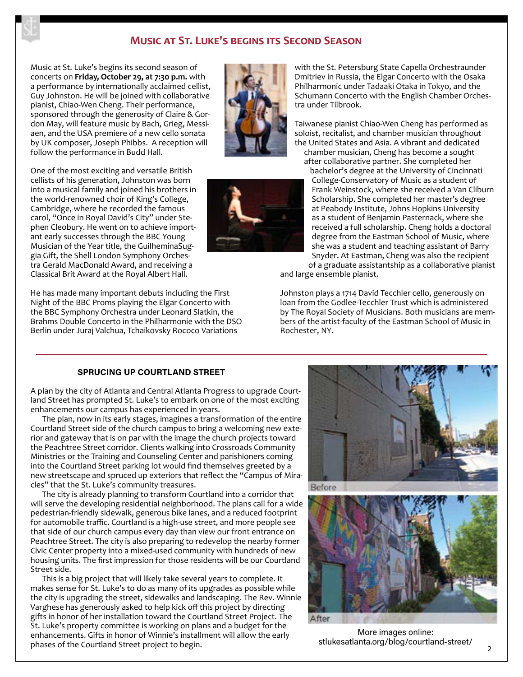## **Music at St. Luke's begins its Second Season**

Music at St. Luke's begins its second season of concerts on **Friday, October 29, at 7:30 p.m.** with a performance by internationally acclaimed cellist, Guy Johnston. He will be joined with collaborative pianist, Chiao-Wen Cheng. Their performance, sponsored through the generosity of Claire & Gordon May, will feature music by Bach, Grieg, Messiaen, and the USA premiere of a new cello sonata by UK composer, Joseph Phibbs. A reception will follow the performance in Budd Hall.

One of the most exciting and versatile British cellists of his generation, Johnston was born into a musical family and joined his brothers in the world-renowned choir of King's College, Cambridge, where he recorded the famous carol, "Once in Royal David's City" under Stephen Cleobury. He went on to achieve important early successes through the BBC Young Musician of the Year title, the GuilheminaSuggia Gift, the Shell London Symphony Orchestra Gerald MacDonald Award, and receiving a Classical Brit Award at the Royal Albert Hall.

He has made many important debuts including the First Night of the BBC Proms playing the Elgar Concerto with the BBC Symphony Orchestra under Leonard Slatkin, the Brahms Double Concerto in the Philharmonie with the DSO Berlin under Juraj Valchua, Tchaikovsky Rococo Variations





with the St. Petersburg State Capella Orchestraunder Dmitriev in Russia, the Elgar Concerto with the Osaka Philharmonic under Tadaaki Otaka in Tokyo, and the Schumann Concerto with the English Chamber Orchestra under Tilbrook.

Taiwanese pianist Chiao-Wen Cheng has performed as soloist, recitalist, and chamber musician throughout the United States and Asia. A vibrant and dedicated chamber musician, Cheng has become a sought

after collaborative partner. She completed her bachelor's degree at the University of Cincinnati College-Conservatory of Music as a student of Frank Weinstock, where she received a Van Cliburn Scholarship. She completed her master's degree at Peabody Institute, Johns Hopkins University as a student of Benjamin Pasternack, where she received a full scholarship. Cheng holds a doctoral degree from the Eastman School of Music, where she was a student and teaching assistant of Barry Snyder. At Eastman, Cheng was also the recipient

of a graduate assistantship as a collaborative pianist and large ensemble pianist.

Johnston plays a 1714 David Tecchler cello, generously on loan from the Godlee-Tecchler Trust which is administered by The Royal Society of Musicians. Both musicians are members of the artist-faculty of the Eastman School of Music in Rochester, NY.

### **SPRUCING UP COURTLAND STREET**

A plan by the city of Atlanta and Central Atlanta Progress to upgrade Courtland Street has prompted St. Luke's to embark on one of the most exciting enhancements our campus has experienced in years.

The plan, now in its early stages, imagines a transformation of the entire Courtland Street side of the church campus to bring a welcoming new exterior and gateway that is on par with the image the church projects toward the Peachtree Street corridor. Clients walking into Crossroads Community Ministries or the Training and Counseling Center and parishioners coming into the Courtland Street parking lot would find themselves greeted by a new streetscape and spruced up exteriors that reflect the "Campus of Miracles" that the St. Luke's community treasures.

The city is already planning to transform Courtland into a corridor that will serve the developing residential neighborhood. The plans call for a wide pedestrian-friendly sidewalk, generous bike lanes, and a reduced footprint for automobile traffic. Courtland is a high-use street, and more people see that side of our church campus every day than view our front entrance on Peachtree Street. The city is also preparing to redevelop the nearby former Civic Center property into a mixed-used community with hundreds of new housing units. The first impression for those residents will be our Courtland Street side.

This is a big project that will likely take several years to complete. It makes sense for St. Luke's to do as many of its upgrades as possible while the city is upgrading the street, sidewalks and landscaping. The Rev. Winnie Varghese has generously asked to help kick off this project by directing gifts in honor of her installation toward the Courtland Street Project. The St. Luke's property committee is working on plans and a budget for the enhancements. Gifts in honor of Winnie's installment will allow the early phases of the Courtland Street project to begin.



More images online: stlukesatlanta.org/blog/courtland-street/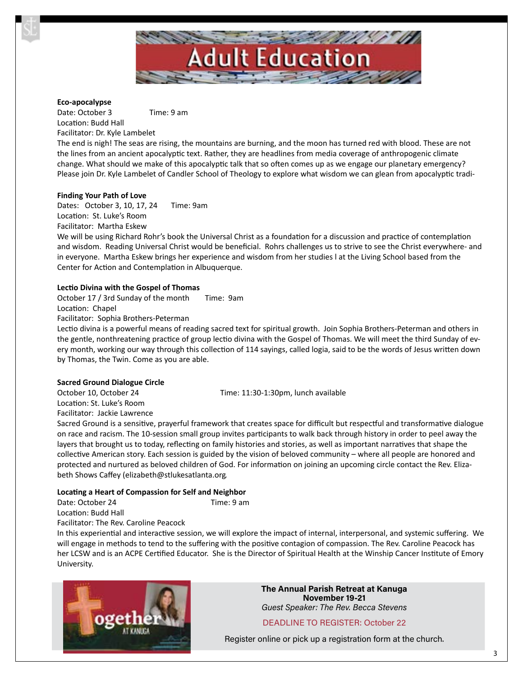

### **Eco-apocalypse**

Date: October 3 Time: 9 am Location: Budd Hall Facilitator: Dr. Kyle Lambelet

The end is nigh! The seas are rising, the mountains are burning, and the moon has turned red with blood. These are not the lines from an ancient apocalyptic text. Rather, they are headlines from media coverage of anthropogenic climate change. What should we make of this apocalyptic talk that so often comes up as we engage our planetary emergency? Please join Dr. Kyle Lambelet of Candler School of Theology to explore what wisdom we can glean from apocalyptic tradi-

### **Finding Your Path of Love**

Dates: October 3, 10, 17, 24 Time: 9am Location: St. Luke's Room Facilitator: Martha Eskew

We will be using Richard Rohr's book the Universal Christ as a foundation for a discussion and practice of contemplation and wisdom. Reading Universal Christ would be beneficial. Rohrs challenges us to strive to see the Christ everywhere- and in everyone. Martha Eskew brings her experience and wisdom from her studies l at the Living School based from the Center for Action and Contemplation in Albuquerque.

### **Lectio Divina with the Gospel of Thomas**

October 17 / 3rd Sunday of the month Time: 9am

Location: Chapel

Facilitator: Sophia Brothers-Peterman

Lectio divina is a powerful means of reading sacred text for spiritual growth. Join Sophia Brothers-Peterman and others in the gentle, nonthreatening practice of group lectio divina with the Gospel of Thomas. We will meet the third Sunday of every month, working our way through this collection of 114 sayings, called logia, said to be the words of Jesus written down by Thomas, the Twin. Come as you are able.

#### **Sacred Ground Dialogue Circle**

Location: St. Luke's Room Facilitator: Jackie Lawrence

October 10, October 24 Time: 11:30-1:30pm, lunch available

Sacred Ground is a sensitive, prayerful framework that creates space for difficult but respectful and transformative dialogue on race and racism. The 10-session small group invites participants to walk back through history in order to peel away the layers that brought us to today, reflecting on family histories and stories, as well as important narratives that shape the collective American story. Each session is guided by the vision of beloved community – where all people are honored and protected and nurtured as beloved children of God. For information on joining an upcoming circle contact the Rev. Elizabeth Shows Caffey (elizabeth@stlukesatlanta.org.

#### **Locating a Heart of Compassion for Self and Neighbor**

Date: October 24 Time: 9 am Location: Budd Hall

Facilitator: The Rev. Caroline Peacock

In this experiential and interactive session, we will explore the impact of internal, interpersonal, and systemic suffering. We will engage in methods to tend to the suffering with the positive contagion of compassion. The Rev. Caroline Peacock has her LCSW and is an ACPE Certified Educator. She is the Director of Spiritual Health at the Winship Cancer Institute of Emory University.



**The Annual Parish Retreat at Kanuga November 19-21** *Guest Speaker: The Rev. Becca Stevens*

## DEADLINE TO REGISTER: October 22

Register online or pick up a registration form at the church.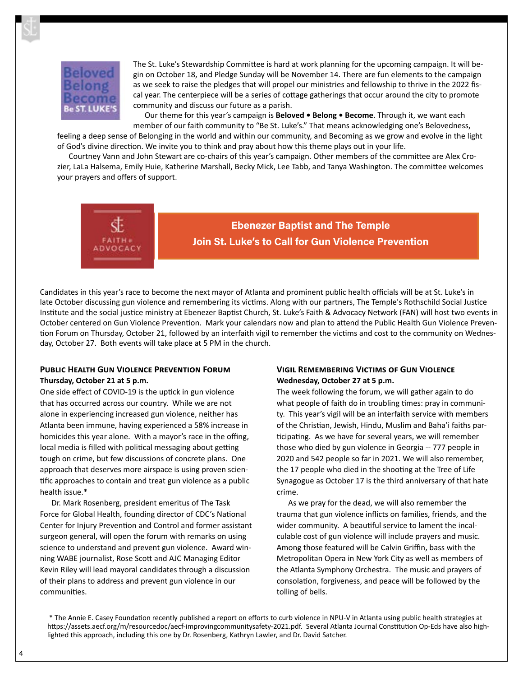

The St. Luke's Stewardship Committee is hard at work planning for the upcoming campaign. It will begin on October 18, and Pledge Sunday will be November 14. There are fun elements to the campaign as we seek to raise the pledges that will propel our ministries and fellowship to thrive in the 2022 fiscal year. The centerpiece will be a series of cottage gatherings that occur around the city to promote community and discuss our future as a parish.

Our theme for this year's campaign is **Beloved • Belong • Become**. Through it, we want each member of our faith community to "Be St. Luke's." That means acknowledging one's Belovedness,

feeling a deep sense of Belonging in the world and within our community, and Becoming as we grow and evolve in the light of God's divine direction. We invite you to think and pray about how this theme plays out in your life.

Courtney Vann and John Stewart are co-chairs of this year's campaign. Other members of the committee are Alex Crozier, LaLa Halsema, Emily Huie, Katherine Marshall, Becky Mick, Lee Tabb, and Tanya Washington. The committee welcomes your prayers and offers of support.



**Ebenezer Baptist and The Temple Join St. Luke's to Call for Gun Violence Prevention**

Candidates in this year's race to become the next mayor of Atlanta and prominent public health officials will be at St. Luke's in late October discussing gun violence and remembering its victims. Along with our partners, The Temple's Rothschild Social Justice Institute and the social justice ministry at Ebenezer Baptist Church, St. Luke's Faith & Advocacy Network (FAN) will host two events in October centered on Gun Violence Prevention. Mark your calendars now and plan to attend the Public Health Gun Violence Prevention Forum on Thursday, October 21, followed by an interfaith vigil to remember the victims and cost to the community on Wednesday, October 27. Both events will take place at 5 PM in the church.

## **Public Health Gun Violence Prevention Forum Thursday, October 21 at 5 p.m.**

One side effect of COVID-19 is the uptick in gun violence that has occurred across our country. While we are not alone in experiencing increased gun violence, neither has Atlanta been immune, having experienced a 58% increase in homicides this year alone. With a mayor's race in the offing, local media is filled with political messaging about getting tough on crime, but few discussions of concrete plans. One approach that deserves more airspace is using proven scientific approaches to contain and treat gun violence as a public health issue.\*

Dr. Mark Rosenberg, president emeritus of The Task Force for Global Health, founding director of CDC's National Center for Injury Prevention and Control and former assistant surgeon general, will open the forum with remarks on using science to understand and prevent gun violence. Award winning WABE journalist, Rose Scott and AJC Managing Editor Kevin Riley will lead mayoral candidates through a discussion of their plans to address and prevent gun violence in our communities.

## **Vigil Remembering Victims of Gun Violence Wednesday, October 27 at 5 p.m.**

The week following the forum, we will gather again to do what people of faith do in troubling times: pray in community. This year's vigil will be an interfaith service with members of the Christian, Jewish, Hindu, Muslim and Baha'i faiths participating. As we have for several years, we will remember those who died by gun violence in Georgia -- 777 people in 2020 and 542 people so far in 2021. We will also remember, the 17 people who died in the shooting at the Tree of Life Synagogue as October 17 is the third anniversary of that hate crime.

As we pray for the dead, we will also remember the trauma that gun violence inflicts on families, friends, and the wider community. A beautiful service to lament the incalculable cost of gun violence will include prayers and music. Among those featured will be Calvin Griffin, bass with the Metropolitan Opera in New York City as well as members of the Atlanta Symphony Orchestra. The music and prayers of consolation, forgiveness, and peace will be followed by the tolling of bells.

\* The Annie E. Casey Foundation recently published a report on efforts to curb violence in NPU-V in Atlanta using public health strategies at https://assets.aecf.org/m/resourcedoc/aecf-improvingcommunitysafety-2021.pdf. Several Atlanta Journal Constitution Op-Eds have also highlighted this approach, including this one by Dr. Rosenberg, Kathryn Lawler, and Dr. David Satcher.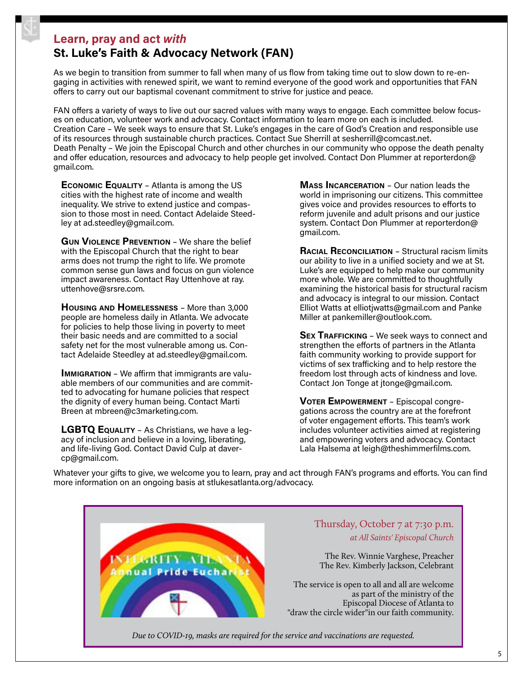# **Learn, pray and act** *with*

# **St. Luke's Faith & Advocacy Network (FAN)**

As we begin to transition from summer to fall when many of us flow from taking time out to slow down to re-engaging in activities with renewed spirit, we want to remind everyone of the good work and opportunities that FAN offers to carry out our baptismal covenant commitment to strive for justice and peace.

FAN offers a variety of ways to live out our sacred values with many ways to engage. Each committee below focuses on education, volunteer work and advocacy. Contact information to learn more on each is included. Creation Care – We seek ways to ensure that St. Luke's engages in the care of God's Creation and responsible use of its resources through sustainable church practices. Contact Sue Sherrill at sesherrill@comcast.net. Death Penalty – We join the Episcopal Church and other churches in our community who oppose the death penalty and offer education, resources and advocacy to help people get involved. Contact Don Plummer at reporterdon@ gmail.com.

**Economic Equality** – Atlanta is among the US cities with the highest rate of income and wealth inequality. We strive to extend justice and compassion to those most in need. Contact Adelaide Steedley at ad.steedley@gmail.com.

**Gun Violence Prevention** – We share the belief with the Episcopal Church that the right to bear arms does not trump the right to life. We promote common sense gun laws and focus on gun violence impact awareness. Contact Ray Uttenhove at ray. uttenhove@srsre.com.

**Housing and Homelessness** – More than 3,000 people are homeless daily in Atlanta. We advocate for policies to help those living in poverty to meet their basic needs and are committed to a social safety net for the most vulnerable among us. Contact Adelaide Steedley at ad.steedley@gmail.com.

**IMMIGRATION** – We affirm that immigrants are valuable members of our communities and are committed to advocating for humane policies that respect the dignity of every human being. Contact Marti Breen at mbreen@c3marketing.com.

**LGBTQ Equality** – As Christians, we have a legacy of inclusion and believe in a loving, liberating, and life-living God. Contact David Culp at davercp@gmail.com.

**Mass Incarceration** – Our nation leads the world in imprisoning our citizens. This committee gives voice and provides resources to efforts to reform juvenile and adult prisons and our justice system. Contact Don Plummer at reporterdon@ gmail.com.

**Racial Reconciliation** – Structural racism limits our ability to live in a unified society and we at St. Luke's are equipped to help make our community more whole. We are committed to thoughtfully examining the historical basis for structural racism and advocacy is integral to our mission. Contact Elliot Watts at elliotjwatts@gmail.com and Panke Miller at pankemiller@outlook.com.

**Sex Trafficking** – We seek ways to connect and strengthen the efforts of partners in the Atlanta faith community working to provide support for victims of sex trafficking and to help restore the freedom lost through acts of kindness and love. Contact Jon Tonge at jtonge@gmail.com.

**Voter Empowerment** – Episcopal congregations across the country are at the forefront of voter engagement efforts. This team's work includes volunteer activities aimed at registering and empowering voters and advocacy. Contact Lala Halsema at leigh@theshimmerfilms.com.

Whatever your gifts to give, we welcome you to learn, pray and act through FAN's programs and efforts. You can find more information on an ongoing basis at stlukesatlanta.org/advocacy.

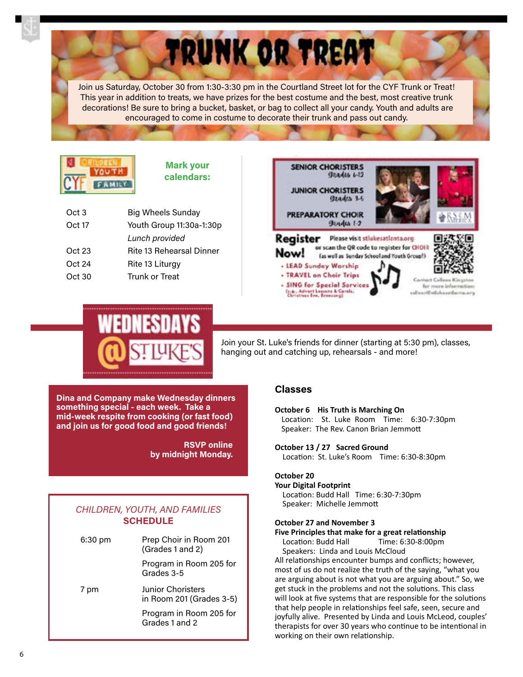Join us Saturday, October 30 from 1:30-3:30 pm in the Courtland Street lot for the CYF Trunk or Treat! This year in addition to treats, we have prizes for the best costume and the best, most creative trunk decorations! Be sure to bring a bucket, basket, or bag to collect all your candy. Youth and adults are encouraged to come in costume to decorate their trunk and pass out candy.

TRUNK OR TREAT



**Mark your calendars:**

| Oct 3  | <b>Big Wheels Sunday</b> |
|--------|--------------------------|
| Oct 17 | Youth Group 11:30a-1:30p |
|        | Lunch provided           |
| Oct 23 | Rite 13 Rehearsal Dinner |
| Oct 24 | Rite 13 Liturgy          |
| Oct30  | Trunk or Treat           |
|        |                          |





Join your St. Luke's friends for dinner (starting at 5:30 pm), classes, hanging out and catching up, rehearsals - and more!

**Dina and Company make Wednesday dinners something special - each week. Take a mid-week respite from cooking (or fast food) and join us for good food and good friends!**

> **RSVP online by midnight Monday.**

## *CHILDREN, YOUTH, AND FAMILIES*  **SCHEDULE**

| $6:30$ pm | Prep Choir in Room 201<br>(Grades 1 and 2)           |
|-----------|------------------------------------------------------|
|           | Program in Room 205 for<br>Grades 3-5                |
| 7 pm      | <b>Junior Choristers</b><br>in Room 201 (Grades 3-5) |
|           | Program in Room 205 for<br>Grades 1 and 2            |

## **Classes**

**October 6 His Truth is Marching On** Location: St. Luke Room Time: 6:30-7:30pm Speaker: The Rev. Canon Brian Jemmott

**October 13 / 27 Sacred Ground**  Location: St. Luke's Room Time: 6:30-8:30pm

### **October 20**

### **Your Digital Footprint**

Location: Budd Hall Time: 6:30-7:30pm Speaker: Michelle Jemmott

### **October 27 and November 3**

#### **Five Principles that make for a great relationship** Location: Budd Hall Time: 6:30-8:00pm

Speakers: Linda and Louis McCloud

All relationships encounter bumps and conflicts; however, most of us do not realize the truth of the saying, "what you are arguing about is not what you are arguing about." So, we get stuck in the problems and not the solutions. This class will look at five systems that are responsible for the solutions that help people in relationships feel safe, seen, secure and joyfully alive. Presented by Linda and Louis McLeod, couples' therapists for over 30 years who continue to be intentional in working on their own relationship.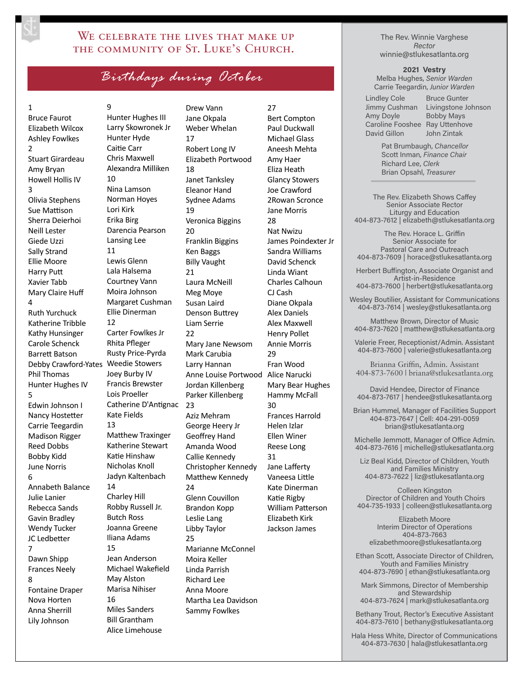# WE CELEBRATE THE LIVES THAT MAKE UP THE COMMUNITY OF ST. LUKE'S CHURCH.

*Birthdays during October*

### 1

Bruce Faurot Elizabeth Wilcox Ashley Fowlkes 2 Stuart Girardeau Amy Bryan Howell Hollis IV 3 Olivia Stephens Sue Mattison Sherra Deierhoi Neill Lester Giede Uzzi Sally Strand Ellie Moore Harry Putt Xavier Tabb Mary Claire Huff  $\overline{A}$ Ruth Yurchuck Katherine Tribble Kathy Hunsinger Carole Schenck Barrett Batson Debby Crawford-Yates Weedie Stowers Phil Thomas Hunter Hughes IV 5 Edwin Johnson I Nancy Hostetter Carrie Teegardin Madison Rigger Reed Dobbs Bobby Kidd June Norris 6 Annabeth Balance Julie Lanier Rebecca Sands Gavin Bradley Wendy Tucker JC Ledbetter 7 Dawn Shipp Frances Neely 8 Fontaine Draper Nova Horten Anna Sherrill Lily Johnson

9 Hunter Hughes III Larry Skowronek Jr Hunter Hyde Caitie Carr Chris Maxwell Alexandra Milliken  $1<sub>0</sub>$ Nina Lamson Norman Hoyes Lori Kirk Erika Birg Darencia Pearson Lansing Lee 11 Lewis Glenn Lala Halsema Courtney Vann Moira Johnson Margaret Cushman Ellie Dinerman 12 Carter Fowlkes Jr Rhita Pfleger Rusty Price-Pyrda Joey Burby IV Francis Brewster Lois Proeller Catherine D'Antignac Kate Fields 13 Matthew Traxinger Katherine Stewart Katie Hinshaw Nicholas Knoll Jadyn Kaltenbach 14 Charley Hill Robby Russell Jr. Butch Ross Joanna Greene Iliana Adams 15 Jean Anderson Michael Wakefield May Alston Marisa Nihiser 16 Miles Sanders Bill Grantham Alice Limehouse

Drew Vann Jane Okpala Weber Whelan 17 Robert Long IV Elizabeth Portwood 18 Janet Tanksley Eleanor Hand Sydnee Adams 19 Veronica Biggins 20 Franklin Biggins Ken Baggs Billy Vaught 21 Laura McNeill Meg Moye Susan Laird Denson Buttrey Liam Serrie  $22$ Mary Jane Newsom Mark Carubia Larry Hannan Anne Louise Portwood Jordan Killenberg Parker Killenberg 23 Aziz Mehram George Heery Jr Geoffrey Hand Amanda Wood Callie Kennedy Christopher Kennedy Matthew Kennedy  $24$ Glenn Couvillon Brandon Kopp Leslie Lang Libby Taylor 25 Marianne McConnel Moira Keller Linda Parrish Richard Lee Anna Moore Martha Lea Davidson Sammy Fowlkes

27 Bert Compton Paul Duckwall Michael Glass Aneesh Mehta Amy Haer Eliza Heath Glancy Stowers Joe Crawford 2Rowan Scronce Jane Morris 28 Nat Nwizu James Poindexter Jr Sandra Williams David Schenck Linda Wiant Charles Calhoun CJ Cash Diane Okpala Alex Daniels Alex Maxwell Henry Pollet Annie Morris 29 Fran Wood Alice Narucki Mary Bear Hughes Hammy McFall 30 Frances Harrold Helen Izlar Ellen Winer Reese Long 31 Jane Lafferty Vaneesa Little Kate Dinerman Katie Rigby William Patterson Elizabeth Kirk Jackson James

The Rev. Winnie Varghese *Rector* winnie@stlukesatlanta.org

**2021 Vestry** 

Melba Hughes, *Senior Warden* Carrie Teegardin, *Junior Warden*

Lindley Cole Jimmy Cushman Amy Doyle Caroline Fooshee Ray Uttenhove David Gillon

Bruce Gunter Livingstone Johnson Bobby Mays John Zintak

Pat Brumbaugh, *Chancellor* Scott Inman, *Finance Chair* Richard Lee, *Clerk* Brian Opsahl, *Treasurer*

The Rev. Elizabeth Shows Caffey Senior Associate Rector Liturgy and Education 404-873-7612 | elizabeth@stlukesatlanta.org

The Rev. Horace L. Griffin Senior Associate for Pastoral Care and Outreach 404-873-7609 | horace@stlukesatlanta.org

Herbert Buffington, Associate Organist and Artist-in-Residence 404-873-7600 | herbert@stlukesatlanta.org

Wesley Boutilier, Assistant for Communications 404-873-7614 | wesley@stlukesatlanta.org

Matthew Brown, Director of Music 404-873-7620 | matthew@stlukesatlanta.org

Valerie Freer, Receptionist/Admin. Assistant 404-873-7600 | valerie@stlukesatlanta.org

Brianna Griffin, Admin. Assistant 404-873-7600 | briana@stlukesatlanta.org

David Hendee, Director of Finance 404-873-7617 | hendee@stlukesatlanta.org

Brian Hummel, Manager of Facilities Support 404-873-7647 | Cell: 404-291-0059 brian@stlukesatlanta.org

Michelle Jemmott, Manager of Office Admin. 404-873-7616 | michelle@stlukesatlanta.org

Liz Beal Kidd, Director of Children, Youth and Families Ministry 404-873-7622 | liz@stlukesatlanta.org

Colleen Kingston Director of Children and Youth Choirs 404-735-1933 | colleen@stlukesatlanta.org

Elizabeth Moore Interim Director of Operations 404-873-7663 elizabethmoore@stlukesatlanta.org

Ethan Scott, Associate Director of Children, Youth and Families Ministry 404-873-7690 | ethan@stlukesatlanta.org

Mark Simmons, Director of Membership and Stewardship 404-873-7624 | mark@stlukesatlanta.org

Bethany Trout, Rector's Executive Assistant 404-873-7610 | bethany@stlukesatlanta.org

Hala Hess White, Director of Communications 404-873-7630 | hala@stlukesatlanta.org